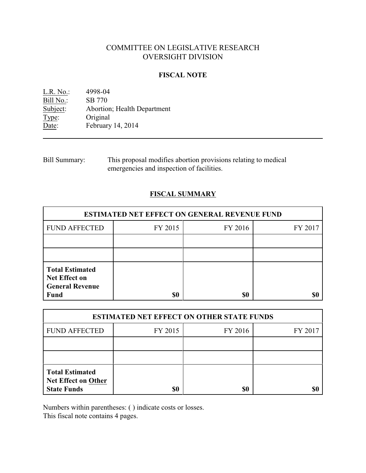# COMMITTEE ON LEGISLATIVE RESEARCH OVERSIGHT DIVISION

## **FISCAL NOTE**

L.R. No.: 4998-04 Bill No.: SB 770<br>Subject: Abortion Abortion; Health Department Type: Original Date: February 14, 2014

Bill Summary: This proposal modifies abortion provisions relating to medical emergencies and inspection of facilities.

# **FISCAL SUMMARY**

| <b>ESTIMATED NET EFFECT ON GENERAL REVENUE FUND</b>                                     |         |         |         |
|-----------------------------------------------------------------------------------------|---------|---------|---------|
| <b>FUND AFFECTED</b>                                                                    | FY 2015 | FY 2016 | FY 2017 |
|                                                                                         |         |         |         |
|                                                                                         |         |         |         |
| <b>Total Estimated</b><br><b>Net Effect on</b><br><b>General Revenue</b><br><b>Fund</b> | \$0     | \$0     |         |

| <b>ESTIMATED NET EFFECT ON OTHER STATE FUNDS</b>                           |         |         |         |  |
|----------------------------------------------------------------------------|---------|---------|---------|--|
| <b>FUND AFFECTED</b>                                                       | FY 2015 | FY 2016 | FY 2017 |  |
|                                                                            |         |         |         |  |
|                                                                            |         |         |         |  |
| <b>Total Estimated</b><br><b>Net Effect on Other</b><br><b>State Funds</b> | \$0     | \$0     |         |  |

Numbers within parentheses: ( ) indicate costs or losses.

This fiscal note contains 4 pages.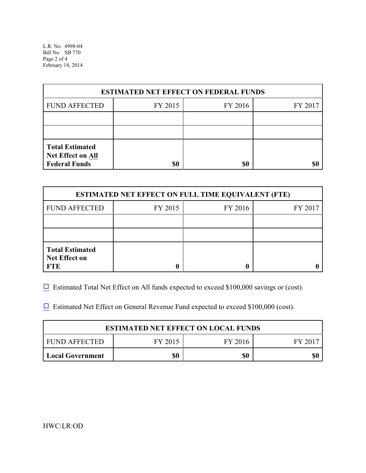L.R. No. 4998-04 Bill No. SB 770 Page 2 of 4 February 14, 2014

| <b>ESTIMATED NET EFFECT ON FEDERAL FUNDS</b>                        |         |         |         |  |
|---------------------------------------------------------------------|---------|---------|---------|--|
| <b>FUND AFFECTED</b>                                                | FY 2015 | FY 2016 | FY 2017 |  |
|                                                                     |         |         |         |  |
|                                                                     |         |         |         |  |
| <b>Total Estimated</b><br>Net Effect on All<br><b>Federal Funds</b> | \$0     | \$0     |         |  |

| <b>ESTIMATED NET EFFECT ON FULL TIME EQUIVALENT (FTE)</b>    |         |         |         |  |
|--------------------------------------------------------------|---------|---------|---------|--|
| <b>FUND AFFECTED</b>                                         | FY 2015 | FY 2016 | FY 2017 |  |
|                                                              |         |         |         |  |
|                                                              |         |         |         |  |
| <b>Total Estimated</b><br><b>Net Effect on</b><br><b>FTE</b> |         |         |         |  |

 $\Box$  Estimated Total Net Effect on All funds expected to exceed \$100,000 savings or (cost).

 $\Box$  Estimated Net Effect on General Revenue Fund expected to exceed \$100,000 (cost).

| <b>ESTIMATED NET EFFECT ON LOCAL FUNDS</b> |         |         |         |  |
|--------------------------------------------|---------|---------|---------|--|
| FUND AFFECTED                              | FY 2015 | FY 2016 | FY 2017 |  |
| <b>Local Government</b>                    |         | \$0     |         |  |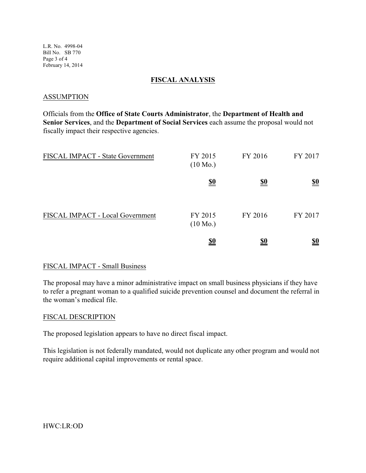L.R. No. 4998-04 Bill No. SB 770 Page 3 of 4 February 14, 2014

### **FISCAL ANALYSIS**

### ASSUMPTION

Officials from the **Office of State Courts Administrator**, the **Department of Health and Senior Services**, and the **Department of Social Services** each assume the proposal would not fiscally impact their respective agencies.

| FISCAL IMPACT - State Government | FY 2015<br>$(10 \text{ Mo.})$ | FY 2016    | FY 2017           |
|----------------------------------|-------------------------------|------------|-------------------|
|                                  | <u>\$0</u>                    | <u>\$0</u> | $\underline{\$0}$ |
| FISCAL IMPACT - Local Government | FY 2015<br>$(10 \text{ Mo.})$ | FY 2016    | FY 2017           |
|                                  | <u>\$0</u>                    | <u>\$0</u> | <u>\$0</u>        |

### FISCAL IMPACT - Small Business

The proposal may have a minor administrative impact on small business physicians if they have to refer a pregnant woman to a qualified suicide prevention counsel and document the referral in the woman's medical file.

#### FISCAL DESCRIPTION

The proposed legislation appears to have no direct fiscal impact.

This legislation is not federally mandated, would not duplicate any other program and would not require additional capital improvements or rental space.